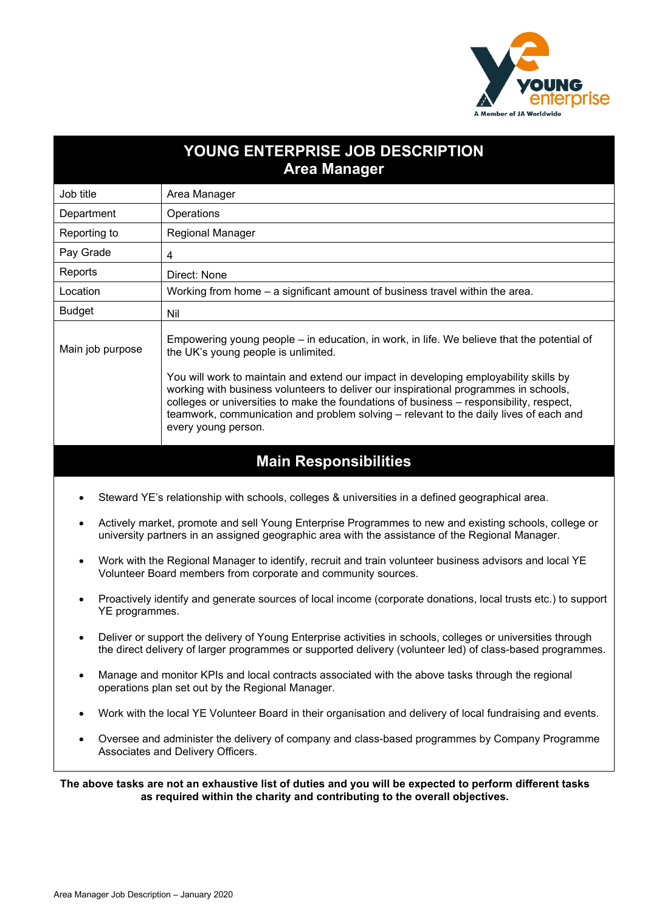

# **YOUNG ENTERPRISE JOB DESCRIPTION Area Manager** Job title | Area Manager Department | Operations Reporting to Regional Manager Pay Grade  $4$ Reports | Direct: None Location Working from home – a significant amount of business travel within the area. Budget Nil  $\vert$  Empowering young people – in education, in work, in life. We believe that the potential of Main job purpose  $\vert$  the UK's young people is unlimited. the UK's young people is unlimited. You will work to maintain and extend our impact in developing employability skills by working with business volunteers to deliver our inspirational programmes in schools, colleges or universities to make the foundations of business – responsibility, respect, teamwork, communication and problem solving – relevant to the daily lives of each and every young person.

## **Main Responsibilities**

- Steward YE's relationship with schools, colleges & universities in a defined geographical area.
- Actively market, promote and sell Young Enterprise Programmes to new and existing schools, college or university partners in an assigned geographic area with the assistance of the Regional Manager.
- Work with the Regional Manager to identify, recruit and train volunteer business advisors and local YE Volunteer Board members from corporate and community sources.
- Proactively identify and generate sources of local income (corporate donations, local trusts etc.) to support YE programmes.
- Deliver or support the delivery of Young Enterprise activities in schools, colleges or universities through the direct delivery of larger programmes or supported delivery (volunteer led) of class-based programmes.
- Manage and monitor KPIs and local contracts associated with the above tasks through the regional operations plan set out by the Regional Manager.
- Work with the local YE Volunteer Board in their organisation and delivery of local fundraising and events.
- Oversee and administer the delivery of company and class-based programmes by Company Programme Associates and Delivery Officers.

**The above tasks are not an exhaustive list of duties and you will be expected to perform different tasks as required within the charity and contributing to the overall objectives.**